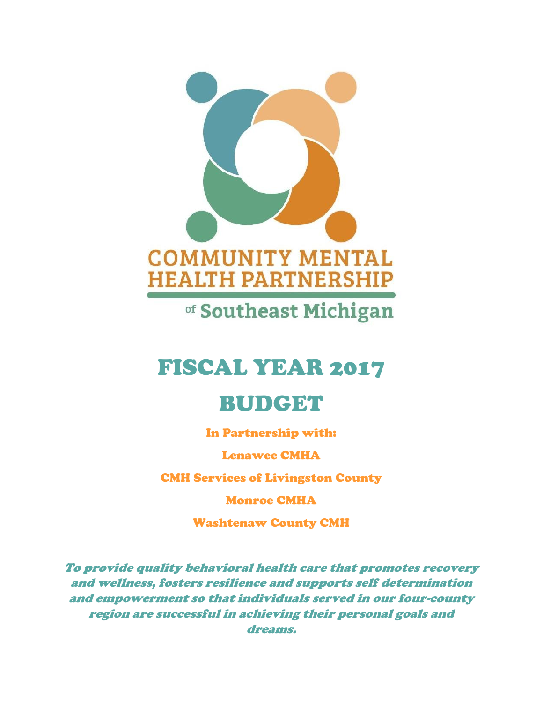

of Southeast Michigan

# FISCAL YEAR 2017

# BUDGET

In Partnership with:

Lenawee CMHA

CMH Services of Livingston County

Monroe CMHA

Washtenaw County CMH

*To provide quality behavioral health care that promotes recovery and wellness, fosters resilience and supports self determination and empowerment so that individuals served in our four-county region are successful in achieving their personal goals and dreams.*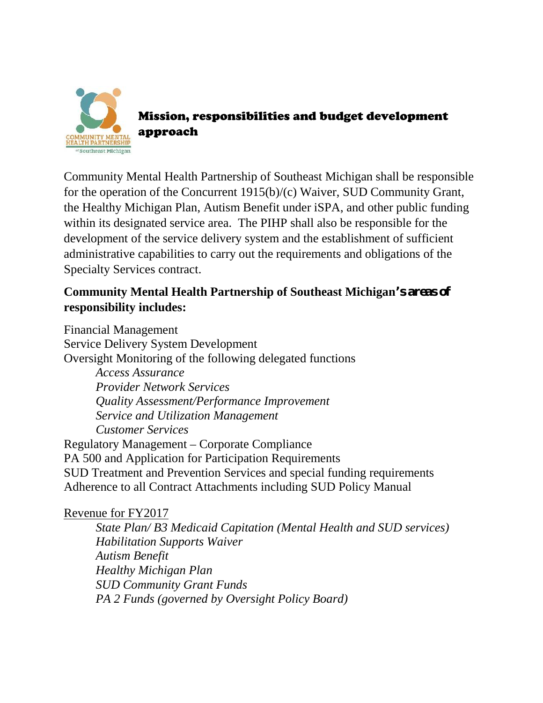

Mission, responsibilities and budget development approach

Community Mental Health Partnership of Southeast Michigan shall be responsible for the operation of the Concurrent 1915(b)/(c) Waiver, SUD Community Grant, the Healthy Michigan Plan, Autism Benefit under iSPA, and other public funding within its designated service area. The PIHP shall also be responsible for the development of the service delivery system and the establishment of sufficient administrative capabilities to carry out the requirements and obligations of the Specialty Services contract.

# **Community Mental Health Partnership of Southeast Michigan's areas of responsibility includes:**

Financial Management Service Delivery System Development Oversight Monitoring of the following delegated functions *Access Assurance Provider Network Services Quality Assessment/Performance Improvement Service and Utilization Management Customer Services* Regulatory Management – Corporate Compliance PA 500 and Application for Participation Requirements SUD Treatment and Prevention Services and special funding requirements Adherence to all Contract Attachments including SUD Policy Manual

### Revenue for FY2017

*State Plan/ B3 Medicaid Capitation (Mental Health and SUD services) Habilitation Supports Waiver Autism Benefit Healthy Michigan Plan SUD Community Grant Funds PA 2 Funds (governed by Oversight Policy Board)*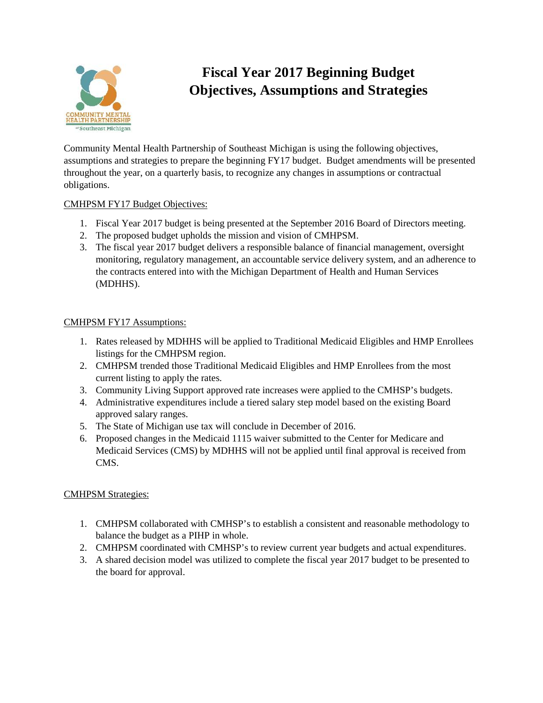

# **Fiscal Year 2017 Beginning Budget Objectives, Assumptions and Strategies**

Community Mental Health Partnership of Southeast Michigan is using the following objectives, assumptions and strategies to prepare the beginning FY17 budget. Budget amendments will be presented throughout the year, on a quarterly basis, to recognize any changes in assumptions or contractual obligations.

#### CMHPSM FY17 Budget Objectives:

- 1. Fiscal Year 2017 budget is being presented at the September 2016 Board of Directors meeting.
- 2. The proposed budget upholds the mission and vision of CMHPSM.
- 3. The fiscal year 2017 budget delivers a responsible balance of financial management, oversight monitoring, regulatory management, an accountable service delivery system, and an adherence to the contracts entered into with the Michigan Department of Health and Human Services (MDHHS).

#### CMHPSM FY17 Assumptions:

- 1. Rates released by MDHHS will be applied to Traditional Medicaid Eligibles and HMP Enrollees listings for the CMHPSM region.
- 2. CMHPSM trended those Traditional Medicaid Eligibles and HMP Enrollees from the most current listing to apply the rates.
- 3. Community Living Support approved rate increases were applied to the CMHSP's budgets.
- 4. Administrative expenditures include a tiered salary step model based on the existing Board approved salary ranges.
- 5. The State of Michigan use tax will conclude in December of 2016.
- 6. Proposed changes in the Medicaid 1115 waiver submitted to the Center for Medicare and Medicaid Services (CMS) by MDHHS will not be applied until final approval is received from CMS.

#### CMHPSM Strategies:

- 1. CMHPSM collaborated with CMHSP's to establish a consistent and reasonable methodology to balance the budget as a PIHP in whole.
- 2. CMHPSM coordinated with CMHSP's to review current year budgets and actual expenditures.
- 3. A shared decision model was utilized to complete the fiscal year 2017 budget to be presented to the board for approval.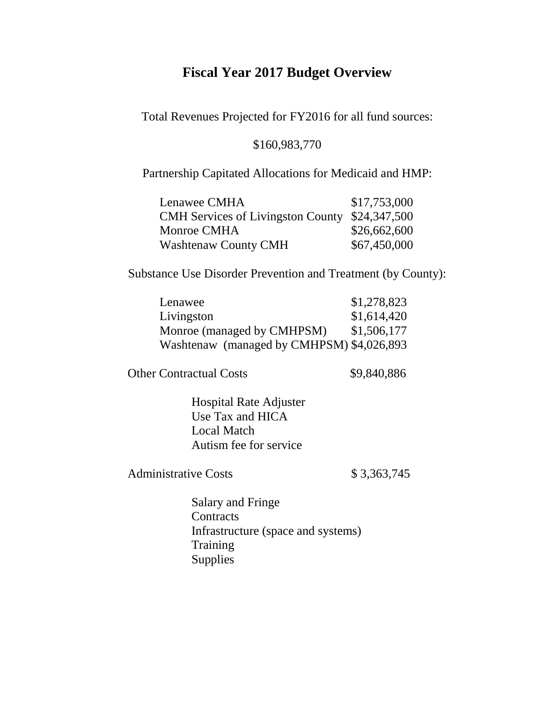## **Fiscal Year 2017 Budget Overview**

Total Revenues Projected for FY2016 for all fund sources:

#### \$160,983,770

Partnership Capitated Allocations for Medicaid and HMP:

| Lenawee CMHA                                   | \$17,753,000 |
|------------------------------------------------|--------------|
| CMH Services of Livingston County \$24,347,500 |              |
| Monroe CMHA                                    | \$26,662,600 |
| <b>Washtenaw County CMH</b>                    | \$67,450,000 |

Substance Use Disorder Prevention and Treatment (by County):

| Lenawee                                   | \$1,278,823 |
|-------------------------------------------|-------------|
| Livingston                                | \$1,614,420 |
| Monroe (managed by CMHPSM)                | \$1,506,177 |
| Washtenaw (managed by CMHPSM) \$4,026,893 |             |

Other Contractual Costs \$9,840,886

Hospital Rate Adjuster Use Tax and HICA Local Match Autism fee for service

Administrative Costs \$3,363,745

Salary and Fringe **Contracts** Infrastructure (space and systems) **Training** Supplies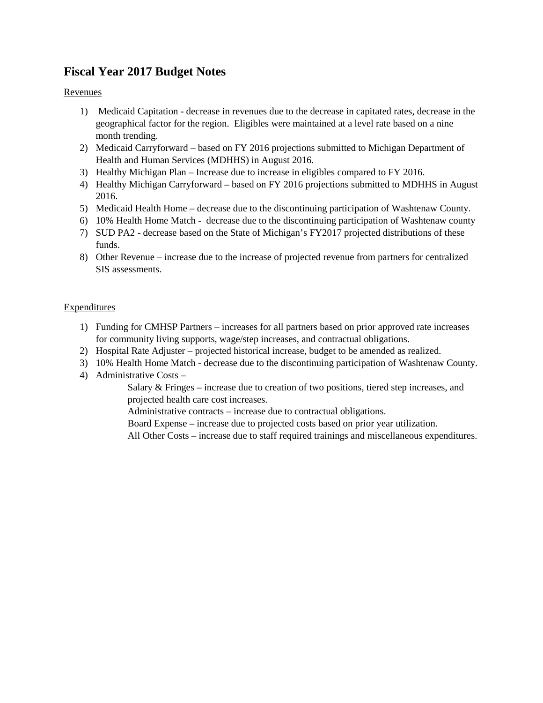### **Fiscal Year 2017 Budget Notes**

#### Revenues

- 1) Medicaid Capitation decrease in revenues due to the decrease in capitated rates, decrease in the geographical factor for the region. Eligibles were maintained at a level rate based on a nine month trending.
- 2) Medicaid Carryforward based on FY 2016 projections submitted to Michigan Department of Health and Human Services (MDHHS) in August 2016.
- 3) Healthy Michigan Plan Increase due to increase in eligibles compared to FY 2016.
- 4) Healthy Michigan Carryforward based on FY 2016 projections submitted to MDHHS in August 2016.
- 5) Medicaid Health Home decrease due to the discontinuing participation of Washtenaw County.
- 6) 10% Health Home Match decrease due to the discontinuing participation of Washtenaw county
- 7) SUD PA2 decrease based on the State of Michigan's FY2017 projected distributions of these funds.
- 8) Other Revenue increase due to the increase of projected revenue from partners for centralized SIS assessments.

#### **Expenditures**

- 1) Funding for CMHSP Partners increases for all partners based on prior approved rate increases for community living supports, wage/step increases, and contractual obligations.
- 2) Hospital Rate Adjuster projected historical increase, budget to be amended as realized.
- 3) 10% Health Home Match decrease due to the discontinuing participation of Washtenaw County.
- 4) Administrative Costs –

Salary & Fringes – increase due to creation of two positions, tiered step increases, and projected health care cost increases.

Administrative contracts – increase due to contractual obligations.

Board Expense – increase due to projected costs based on prior year utilization.

All Other Costs – increase due to staff required trainings and miscellaneous expenditures.